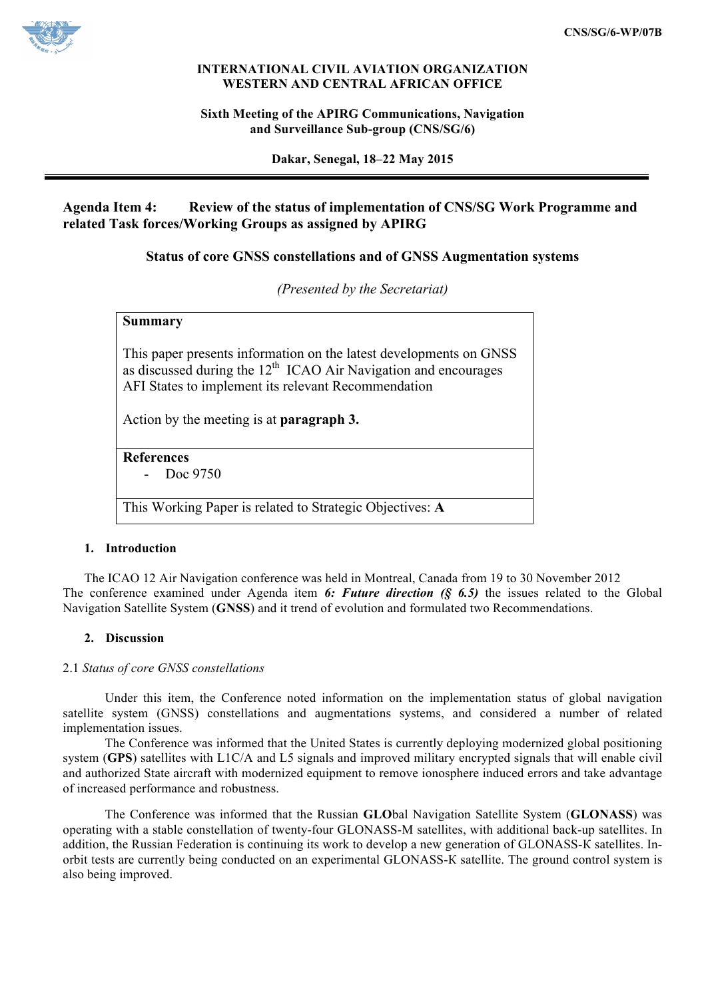

### **INTERNATIONAL CIVIL AVIATION ORGANIZATION WESTERN AND CENTRAL AFRICAN OFFICE**

## **Sixth Meeting of the APIRG Communications, Navigation and Surveillance Sub-group (CNS/SG/6)**

**Dakar, Senegal, 18–22 May 2015**

# **Agenda Item 4: Review of the status of implementation of CNS/SG Work Programme and related Task forces/Working Groups as assigned by APIRG**

# **Status of core GNSS constellations and of GNSS Augmentation systems**

*(Presented by the Secretariat)*

## **Summary**

This paper presents information on the latest developments on GNSS as discussed during the  $12<sup>th</sup>$  ICAO Air Navigation and encourages AFI States to implement its relevant Recommendation

Action by the meeting is at **paragraph 3.**

**References** - Doc 9750

This Working Paper is related to Strategic Objectives: **A**

### **1. Introduction**

The ICAO 12 Air Navigation conference was held in Montreal, Canada from 19 to 30 November 2012 The conference examined under Agenda item *6: Future direction (§ 6.5)* the issues related to the Global Navigation Satellite System (**GNSS**) and it trend of evolution and formulated two Recommendations.

### **2. Discussion**

### 2.1 *Status of core GNSS constellations*

Under this item, the Conference noted information on the implementation status of global navigation satellite system (GNSS) constellations and augmentations systems, and considered a number of related implementation issues.

The Conference was informed that the United States is currently deploying modernized global positioning system (**GPS**) satellites with L1C/A and L5 signals and improved military encrypted signals that will enable civil and authorized State aircraft with modernized equipment to remove ionosphere induced errors and take advantage of increased performance and robustness.

The Conference was informed that the Russian **GLO**bal Navigation Satellite System (**GLONASS**) was operating with a stable constellation of twenty-four GLONASS-М satellites, with additional back-up satellites. In addition, the Russian Federation is continuing its work to develop a new generation of GLONASS-К satellites. Inorbit tests are currently being conducted on an experimental GLONASS-К satellite. The ground control system is also being improved.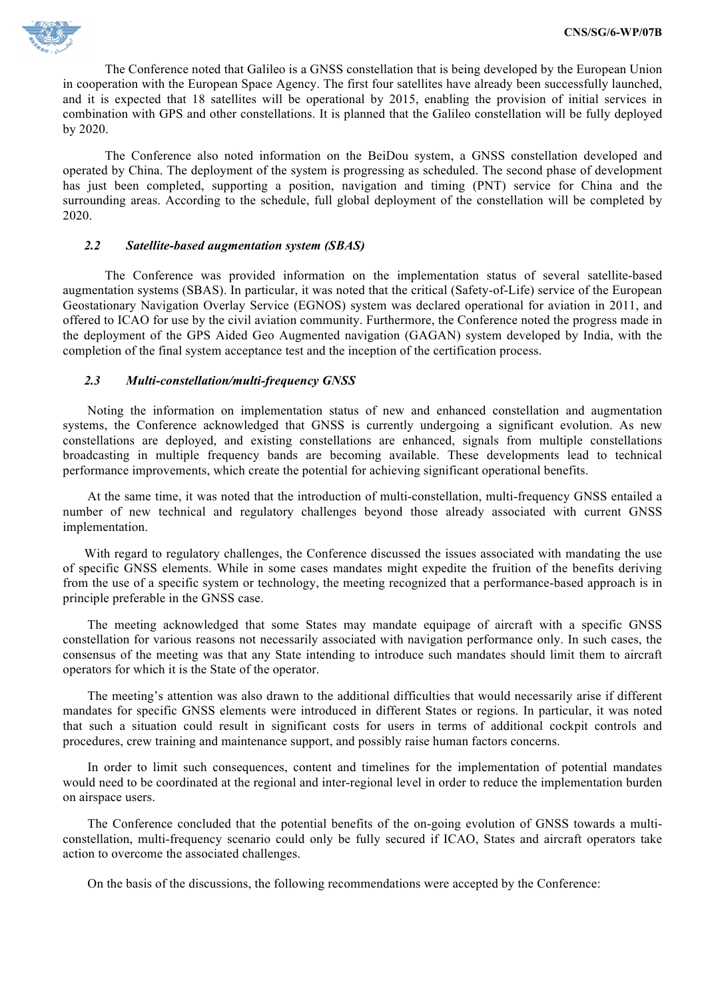

The Conference noted that Galileo is a GNSS constellation that is being developed by the European Union in cooperation with the European Space Agency. The first four satellites have already been successfully launched, and it is expected that 18 satellites will be operational by 2015, enabling the provision of initial services in combination with GPS and other constellations. It is planned that the Galileo constellation will be fully deployed by 2020.

The Conference also noted information on the BeiDou system, a GNSS constellation developed and operated by China. The deployment of the system is progressing as scheduled. The second phase of development has just been completed, supporting a position, navigation and timing (PNT) service for China and the surrounding areas. According to the schedule, full global deployment of the constellation will be completed by 2020.

### *2.2 Satellite-based augmentation system (SBAS)*

The Conference was provided information on the implementation status of several satellite-based augmentation systems (SBAS). In particular, it was noted that the critical (Safety-of-Life) service of the European Geostationary Navigation Overlay Service (EGNOS) system was declared operational for aviation in 2011, and offered to ICAO for use by the civil aviation community. Furthermore, the Conference noted the progress made in the deployment of the GPS Aided Geo Augmented navigation (GAGAN) system developed by India, with the completion of the final system acceptance test and the inception of the certification process.

#### *2.3 Multi-constellation/multi-frequency GNSS*

Noting the information on implementation status of new and enhanced constellation and augmentation systems, the Conference acknowledged that GNSS is currently undergoing a significant evolution. As new constellations are deployed, and existing constellations are enhanced, signals from multiple constellations broadcasting in multiple frequency bands are becoming available. These developments lead to technical performance improvements, which create the potential for achieving significant operational benefits.

At the same time, it was noted that the introduction of multi-constellation, multi-frequency GNSS entailed a number of new technical and regulatory challenges beyond those already associated with current GNSS implementation.

With regard to regulatory challenges, the Conference discussed the issues associated with mandating the use of specific GNSS elements. While in some cases mandates might expedite the fruition of the benefits deriving from the use of a specific system or technology, the meeting recognized that a performance-based approach is in principle preferable in the GNSS case.

The meeting acknowledged that some States may mandate equipage of aircraft with a specific GNSS constellation for various reasons not necessarily associated with navigation performance only. In such cases, the consensus of the meeting was that any State intending to introduce such mandates should limit them to aircraft operators for which it is the State of the operator.

The meeting's attention was also drawn to the additional difficulties that would necessarily arise if different mandates for specific GNSS elements were introduced in different States or regions. In particular, it was noted that such a situation could result in significant costs for users in terms of additional cockpit controls and procedures, crew training and maintenance support, and possibly raise human factors concerns.

In order to limit such consequences, content and timelines for the implementation of potential mandates would need to be coordinated at the regional and inter-regional level in order to reduce the implementation burden on airspace users.

The Conference concluded that the potential benefits of the on-going evolution of GNSS towards a multiconstellation, multi-frequency scenario could only be fully secured if ICAO, States and aircraft operators take action to overcome the associated challenges.

On the basis of the discussions, the following recommendations were accepted by the Conference: